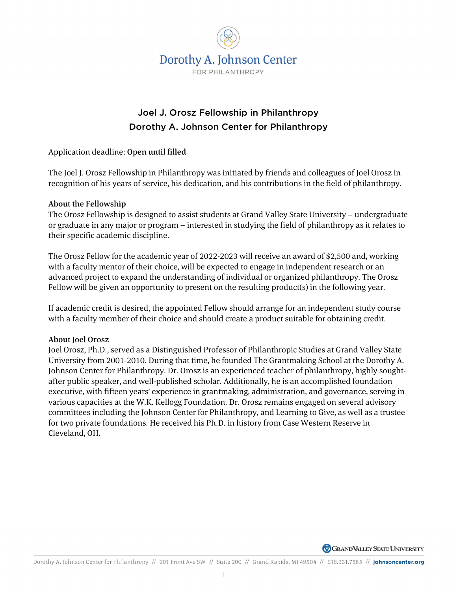

## Joel J. Orosz Fellowship in Philanthropy Dorothy A. Johnson Center for Philanthropy

Application deadline: Open until filled

The Joel J. Orosz Fellowship in Philanthropy was initiated by friends and colleagues of Joel Orosz in recognition of his years of service, his dedication, and his contributions in the field of philanthropy.

## About the Fellowship

The Orosz Fellowship is designed to assist students at Grand Valley State University – undergraduate or graduate in any major or program – interested in studying the field of philanthropy as it relates to their specific academic discipline.

The Orosz Fellow for the academic year of 2022-2023 will receive an award of \$2,500 and, working with a faculty mentor of their choice, will be expected to engage in independent research or an advanced project to expand the understanding of individual or organized philanthropy. The Orosz Fellow will be given an opportunity to present on the resulting product(s) in the following year.

If academic credit is desired, the appointed Fellow should arrange for an independent study course with a faculty member of their choice and should create a product suitable for obtaining credit.

## About Joel Orosz

Joel Orosz, Ph.D., served as a Distinguished Professor of Philanthropic Studies at Grand Valley State University from 2001-2010. During that time, he founded The Grantmaking School at the Dorothy A. Johnson Center for Philanthropy. Dr. Orosz is an experienced teacher of philanthropy, highly soughtafter public speaker, and well-published scholar. Additionally, he is an accomplished foundation executive, with fifteen years' experience in grantmaking, administration, and governance, serving in various capacities at the W.K. Kellogg Foundation. Dr. Orosz remains engaged on several advisory committees including the Johnson Center for Philanthropy, and Learning to Give, as well as a trustee for two private foundations. He received his Ph.D. in history from Case Western Reserve in Cleveland, OH.

**GRAND VALLEY STATE UNIVERSITY**